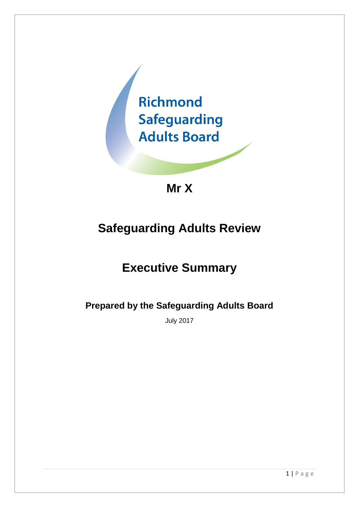

**Mr X**

# **Safeguarding Adults Review**

# **Executive Summary**

**Prepared by the Safeguarding Adults Board**

July 2017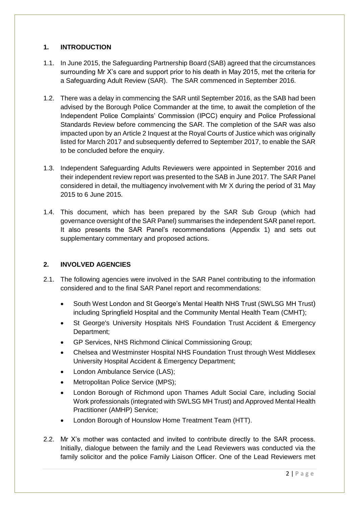# **1. INTRODUCTION**

- 1.1. In June 2015, the Safeguarding Partnership Board (SAB) agreed that the circumstances surrounding Mr X's care and support prior to his death in May 2015, met the criteria for a Safeguarding Adult Review (SAR). The SAR commenced in September 2016.
- 1.2. There was a delay in commencing the SAR until September 2016, as the SAB had been advised by the Borough Police Commander at the time, to await the completion of the Independent Police Complaints' Commission (IPCC) enquiry and Police Professional Standards Review before commencing the SAR. The completion of the SAR was also impacted upon by an Article 2 Inquest at the Royal Courts of Justice which was originally listed for March 2017 and subsequently deferred to September 2017, to enable the SAR to be concluded before the enquiry.
- 1.3. Independent Safeguarding Adults Reviewers were appointed in September 2016 and their independent review report was presented to the SAB in June 2017. The SAR Panel considered in detail, the multiagency involvement with Mr X during the period of 31 May 2015 to 6 June 2015.
- 1.4. This document, which has been prepared by the SAR Sub Group (which had governance oversight of the SAR Panel) summarises the independent SAR panel report. It also presents the SAR Panel's recommendations (Appendix 1) and sets out supplementary commentary and proposed actions.

# **2. INVOLVED AGENCIES**

- 2.1. The following agencies were involved in the SAR Panel contributing to the information considered and to the final SAR Panel report and recommendations:
	- South West London and St George's Mental Health NHS Trust (SWLSG MH Trust) including Springfield Hospital and the Community Mental Health Team (CMHT);
	- St George's University Hospitals NHS Foundation Trust Accident & Emergency Department;
	- GP Services, NHS Richmond Clinical Commissioning Group;
	- Chelsea and Westminster Hospital NHS Foundation Trust through West Middlesex University Hospital Accident & Emergency Department;
	- London Ambulance Service (LAS);
	- Metropolitan Police Service (MPS);
	- London Borough of Richmond upon Thames Adult Social Care, including Social Work professionals (integrated with SWLSG MH Trust) and Approved Mental Health Practitioner (AMHP) Service;
	- London Borough of Hounslow Home Treatment Team (HTT).
- 2.2. Mr X's mother was contacted and invited to contribute directly to the SAR process. Initially, dialogue between the family and the Lead Reviewers was conducted via the family solicitor and the police Family Liaison Officer. One of the Lead Reviewers met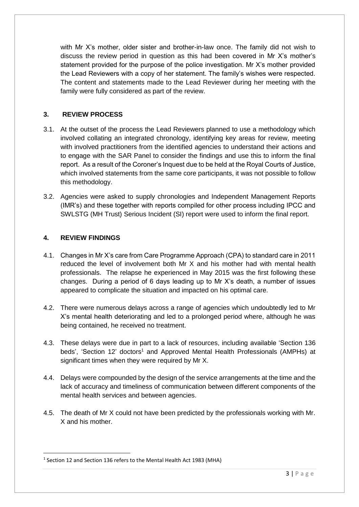with Mr X's mother, older sister and brother-in-law once. The family did not wish to discuss the review period in question as this had been covered in Mr X's mother's statement provided for the purpose of the police investigation. Mr X's mother provided the Lead Reviewers with a copy of her statement. The family's wishes were respected. The content and statements made to the Lead Reviewer during her meeting with the family were fully considered as part of the review.

# **3. REVIEW PROCESS**

- 3.1. At the outset of the process the Lead Reviewers planned to use a methodology which involved collating an integrated chronology, identifying key areas for review, meeting with involved practitioners from the identified agencies to understand their actions and to engage with the SAR Panel to consider the findings and use this to inform the final report. As a result of the Coroner's Inquest due to be held at the Royal Courts of Justice, which involved statements from the same core participants, it was not possible to follow this methodology.
- 3.2. Agencies were asked to supply chronologies and Independent Management Reports (IMR's) and these together with reports compiled for other process including IPCC and SWLSTG (MH Trust) Serious Incident (SI) report were used to inform the final report.

# **4. REVIEW FINDINGS**

**.** 

- 4.1. Changes in Mr X's care from Care Programme Approach (CPA) to standard care in 2011 reduced the level of involvement both Mr X and his mother had with mental health professionals. The relapse he experienced in May 2015 was the first following these changes. During a period of 6 days leading up to Mr X's death, a number of issues appeared to complicate the situation and impacted on his optimal care.
- 4.2. There were numerous delays across a range of agencies which undoubtedly led to Mr X's mental health deteriorating and led to a prolonged period where, although he was being contained, he received no treatment.
- 4.3. These delays were due in part to a lack of resources, including available 'Section 136 beds', 'Section 12' doctors<sup>1</sup> and Approved Mental Health Professionals (AMPHs) at significant times when they were required by Mr X.
- 4.4. Delays were compounded by the design of the service arrangements at the time and the lack of accuracy and timeliness of communication between different components of the mental health services and between agencies.
- 4.5. The death of Mr X could not have been predicted by the professionals working with Mr. X and his mother.

<sup>&</sup>lt;sup>1</sup> Section 12 and Section 136 refers to the Mental Health Act 1983 (MHA)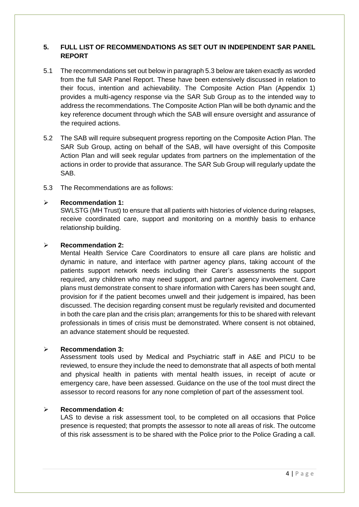# **5. FULL LIST OF RECOMMENDATIONS AS SET OUT IN INDEPENDENT SAR PANEL REPORT**

- 5.1 The recommendations set out below in paragraph 5.3 below are taken exactly as worded from the full SAR Panel Report. These have been extensively discussed in relation to their focus, intention and achievability. The Composite Action Plan (Appendix 1) provides a multi-agency response via the SAR Sub Group as to the intended way to address the recommendations. The Composite Action Plan will be both dynamic and the key reference document through which the SAB will ensure oversight and assurance of the required actions.
- 5.2 The SAB will require subsequent progress reporting on the Composite Action Plan. The SAR Sub Group, acting on behalf of the SAB, will have oversight of this Composite Action Plan and will seek regular updates from partners on the implementation of the actions in order to provide that assurance. The SAR Sub Group will regularly update the SAB.
- 5.3 The Recommendations are as follows:

## ➢ **Recommendation 1:**

SWLSTG (MH Trust) to ensure that all patients with histories of violence during relapses, receive coordinated care, support and monitoring on a monthly basis to enhance relationship building.

#### ➢ **Recommendation 2:**

Mental Health Service Care Coordinators to ensure all care plans are holistic and dynamic in nature, and interface with partner agency plans, taking account of the patients support network needs including their Carer's assessments the support required, any children who may need support, and partner agency involvement. Care plans must demonstrate consent to share information with Carers has been sought and, provision for if the patient becomes unwell and their judgement is impaired, has been discussed. The decision regarding consent must be regularly revisited and documented in both the care plan and the crisis plan; arrangements for this to be shared with relevant professionals in times of crisis must be demonstrated. Where consent is not obtained, an advance statement should be requested.

## ➢ **Recommendation 3:**

Assessment tools used by Medical and Psychiatric staff in A&E and PICU to be reviewed, to ensure they include the need to demonstrate that all aspects of both mental and physical health in patients with mental health issues, in receipt of acute or emergency care, have been assessed. Guidance on the use of the tool must direct the assessor to record reasons for any none completion of part of the assessment tool.

## ➢ **Recommendation 4:**

LAS to devise a risk assessment tool, to be completed on all occasions that Police presence is requested; that prompts the assessor to note all areas of risk. The outcome of this risk assessment is to be shared with the Police prior to the Police Grading a call.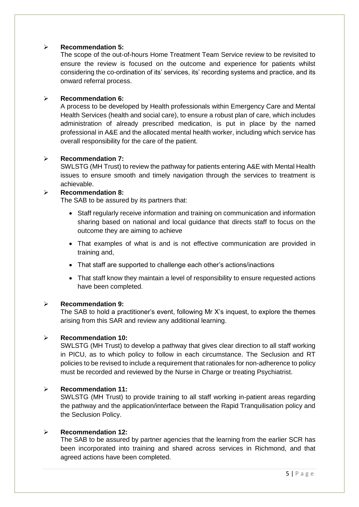# ➢ **Recommendation 5:**

The scope of the out-of-hours Home Treatment Team Service review to be revisited to ensure the review is focused on the outcome and experience for patients whilst considering the co-ordination of its' services, its' recording systems and practice, and its onward referral process.

## ➢ **Recommendation 6:**

A process to be developed by Health professionals within Emergency Care and Mental Health Services (health and social care), to ensure a robust plan of care, which includes administration of already prescribed medication, is put in place by the named professional in A&E and the allocated mental health worker, including which service has overall responsibility for the care of the patient.

# ➢ **Recommendation 7:**

SWLSTG (MH Trust) to review the pathway for patients entering A&E with Mental Health issues to ensure smooth and timely navigation through the services to treatment is achievable.

## ➢ **Recommendation 8:**

The SAB to be assured by its partners that:

- Staff regularly receive information and training on communication and information sharing based on national and local guidance that directs staff to focus on the outcome they are aiming to achieve
- That examples of what is and is not effective communication are provided in training and,
- That staff are supported to challenge each other's actions/inactions
- That staff know they maintain a level of responsibility to ensure requested actions have been completed.

## ➢ **Recommendation 9:**

The SAB to hold a practitioner's event, following Mr X's inquest, to explore the themes arising from this SAR and review any additional learning.

## ➢ **Recommendation 10:**

SWLSTG (MH Trust) to develop a pathway that gives clear direction to all staff working in PICU, as to which policy to follow in each circumstance. The Seclusion and RT policies to be revised to include a requirement that rationales for non-adherence to policy must be recorded and reviewed by the Nurse in Charge or treating Psychiatrist.

## ➢ **Recommendation 11:**

SWLSTG (MH Trust) to provide training to all staff working in-patient areas regarding the pathway and the application/interface between the Rapid Tranquilisation policy and the Seclusion Policy.

## ➢ **Recommendation 12:**

The SAB to be assured by partner agencies that the learning from the earlier SCR has been incorporated into training and shared across services in Richmond, and that agreed actions have been completed.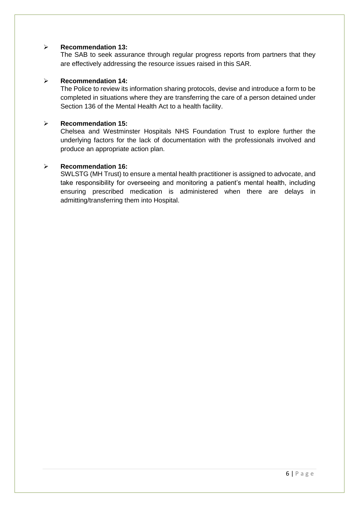#### ➢ **Recommendation 13:**

The SAB to seek assurance through regular progress reports from partners that they are effectively addressing the resource issues raised in this SAR.

#### ➢ **Recommendation 14:**

The Police to review its information sharing protocols, devise and introduce a form to be completed in situations where they are transferring the care of a person detained under Section 136 of the Mental Health Act to a health facility.

#### ➢ **Recommendation 15:**

Chelsea and Westminster Hospitals NHS Foundation Trust to explore further the underlying factors for the lack of documentation with the professionals involved and produce an appropriate action plan.

#### ➢ **Recommendation 16:**

SWLSTG (MH Trust) to ensure a mental health practitioner is assigned to advocate, and take responsibility for overseeing and monitoring a patient's mental health, including ensuring prescribed medication is administered when there are delays in admitting/transferring them into Hospital.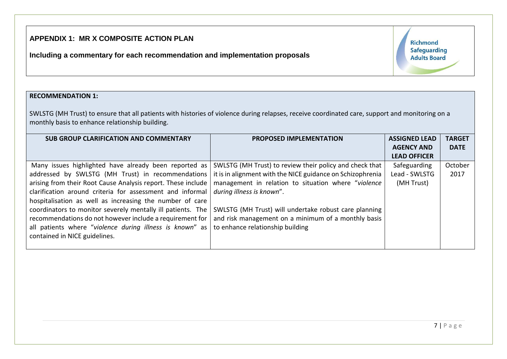# **APPENDIX 1: MR X COMPOSITE ACTION PLAN**

**Including a commentary for each recommendation and implementation proposals** 

Richmond **Safeguarding Adults Board** 

#### **RECOMMENDATION 1:**

SWLSTG (MH Trust) to ensure that all patients with histories of violence during relapses, receive coordinated care, support and monitoring on a monthly basis to enhance relationship building.

| <b>SUB GROUP CLARIFICATION AND COMMENTARY</b>                | <b>PROPOSED IMPLEMENTATION</b>                             | <b>ASSIGNED LEAD</b> | <b>TARGET</b> |
|--------------------------------------------------------------|------------------------------------------------------------|----------------------|---------------|
|                                                              |                                                            | <b>AGENCY AND</b>    | <b>DATE</b>   |
|                                                              |                                                            | <b>LEAD OFFICER</b>  |               |
| Many issues highlighted have already been reported as        | SWLSTG (MH Trust) to review their policy and check that    | Safeguarding         | October       |
| addressed by SWLSTG (MH Trust) in recommendations            | it is in alignment with the NICE guidance on Schizophrenia | Lead - SWLSTG        | 2017          |
| arising from their Root Cause Analysis report. These include | management in relation to situation where "violence        | (MH Trust)           |               |
| clarification around criteria for assessment and informal    | during illness is known".                                  |                      |               |
| hospitalisation as well as increasing the number of care     |                                                            |                      |               |
| coordinators to monitor severely mentally ill patients. The  | SWLSTG (MH Trust) will undertake robust care planning      |                      |               |
| recommendations do not however include a requirement for     | and risk management on a minimum of a monthly basis        |                      |               |
| all patients where "violence during illness is known" as     | to enhance relationship building                           |                      |               |
| contained in NICE guidelines.                                |                                                            |                      |               |
|                                                              |                                                            |                      |               |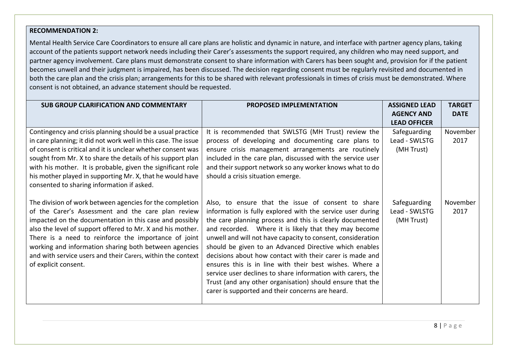#### **RECOMMENDATION 2:**

Mental Health Service Care Coordinators to ensure all care plans are holistic and dynamic in nature, and interface with partner agency plans, taking account of the patients support network needs including their Carer's assessments the support required, any children who may need support, and partner agency involvement. Care plans must demonstrate consent to share information with Carers has been sought and, provision for if the patient becomes unwell and their judgment is impaired, has been discussed. The decision regarding consent must be regularly revisited and documented in both the care plan and the crisis plan; arrangements for this to be shared with relevant professionals in times of crisis must be demonstrated. Where consent is not obtained, an advance statement should be requested.

| <b>SUB GROUP CLARIFICATION AND COMMENTARY</b>                                                                                                                                                                                                                                                                                                                                                                                                                                                 | <b>PROPOSED IMPLEMENTATION</b>                                                                                                                                                                                                                                                                                                                                                                                                                                                        | <b>ASSIGNED LEAD</b>                        | <b>TARGET</b>    |
|-----------------------------------------------------------------------------------------------------------------------------------------------------------------------------------------------------------------------------------------------------------------------------------------------------------------------------------------------------------------------------------------------------------------------------------------------------------------------------------------------|---------------------------------------------------------------------------------------------------------------------------------------------------------------------------------------------------------------------------------------------------------------------------------------------------------------------------------------------------------------------------------------------------------------------------------------------------------------------------------------|---------------------------------------------|------------------|
|                                                                                                                                                                                                                                                                                                                                                                                                                                                                                               |                                                                                                                                                                                                                                                                                                                                                                                                                                                                                       | <b>AGENCY AND</b>                           | <b>DATE</b>      |
|                                                                                                                                                                                                                                                                                                                                                                                                                                                                                               |                                                                                                                                                                                                                                                                                                                                                                                                                                                                                       | <b>LEAD OFFICER</b>                         |                  |
| Contingency and crisis planning should be a usual practice<br>in care planning; it did not work well in this case. The issue<br>of consent is critical and it is unclear whether consent was<br>sought from Mr. X to share the details of his support plan<br>with his mother. It is probable, given the significant role<br>his mother played in supporting Mr. X, that he would have                                                                                                        | It is recommended that SWLSTG (MH Trust) review the<br>process of developing and documenting care plans to<br>ensure crisis management arrangements are routinely<br>included in the care plan, discussed with the service user<br>and their support network so any worker knows what to do<br>should a crisis situation emerge.                                                                                                                                                      | Safeguarding<br>Lead - SWLSTG<br>(MH Trust) | November<br>2017 |
| consented to sharing information if asked.<br>The division of work between agencies for the completion<br>of the Carer's Assessment and the care plan review<br>impacted on the documentation in this case and possibly<br>also the level of support offered to Mr. X and his mother.<br>There is a need to reinforce the importance of joint<br>working and information sharing both between agencies<br>and with service users and their Carers, within the context<br>of explicit consent. | Also, to ensure that the issue of consent to share<br>information is fully explored with the service user during<br>the care planning process and this is clearly documented<br>and recorded. Where it is likely that they may become<br>unwell and will not have capacity to consent, consideration<br>should be given to an Advanced Directive which enables<br>decisions about how contact with their carer is made and<br>ensures this is in line with their best wishes. Where a | Safeguarding<br>Lead - SWLSTG<br>(MH Trust) | November<br>2017 |
|                                                                                                                                                                                                                                                                                                                                                                                                                                                                                               | service user declines to share information with carers, the<br>Trust (and any other organisation) should ensure that the<br>carer is supported and their concerns are heard.                                                                                                                                                                                                                                                                                                          |                                             |                  |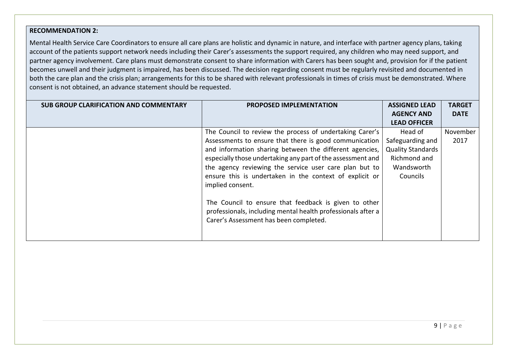#### **RECOMMENDATION 2:**

Mental Health Service Care Coordinators to ensure all care plans are holistic and dynamic in nature, and interface with partner agency plans, taking account of the patients support network needs including their Carer's assessments the support required, any children who may need support, and partner agency involvement. Care plans must demonstrate consent to share information with Carers has been sought and, provision for if the patient becomes unwell and their judgment is impaired, has been discussed. The decision regarding consent must be regularly revisited and documented in both the care plan and the crisis plan; arrangements for this to be shared with relevant professionals in times of crisis must be demonstrated. Where consent is not obtained, an advance statement should be requested.

| <b>SUB GROUP CLARIFICATION AND COMMENTARY</b> | <b>PROPOSED IMPLEMENTATION</b>                               | <b>ASSIGNED LEAD</b>     | <b>TARGET</b> |
|-----------------------------------------------|--------------------------------------------------------------|--------------------------|---------------|
|                                               |                                                              | <b>AGENCY AND</b>        | <b>DATE</b>   |
|                                               |                                                              | <b>LEAD OFFICER</b>      |               |
|                                               | The Council to review the process of undertaking Carer's     | Head of                  | November      |
|                                               | Assessments to ensure that there is good communication       | Safeguarding and         | 2017          |
|                                               | and information sharing between the different agencies,      | <b>Quality Standards</b> |               |
|                                               | especially those undertaking any part of the assessment and  | Richmond and             |               |
|                                               | the agency reviewing the service user care plan but to       | Wandsworth               |               |
|                                               | ensure this is undertaken in the context of explicit or      | Councils                 |               |
|                                               | implied consent.                                             |                          |               |
|                                               | The Council to ensure that feedback is given to other        |                          |               |
|                                               | professionals, including mental health professionals after a |                          |               |
|                                               | Carer's Assessment has been completed.                       |                          |               |
|                                               |                                                              |                          |               |
|                                               |                                                              |                          |               |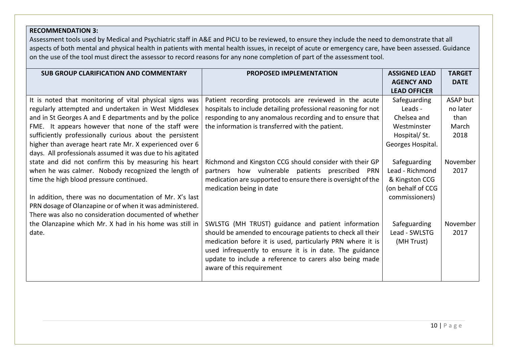# **RECOMMENDATION 3:**

Assessment tools used by Medical and Psychiatric staff in A&E and PICU to be reviewed, to ensure they include the need to demonstrate that all aspects of both mental and physical health in patients with mental health issues, in receipt of acute or emergency care, have been assessed. Guidance on the use of the tool must direct the assessor to record reasons for any none completion of part of the assessment tool.

| <b>SUB GROUP CLARIFICATION AND COMMENTARY</b>              | <b>PROPOSED IMPLEMENTATION</b>                                | <b>ASSIGNED LEAD</b> | <b>TARGET</b> |
|------------------------------------------------------------|---------------------------------------------------------------|----------------------|---------------|
|                                                            |                                                               | <b>AGENCY AND</b>    | <b>DATE</b>   |
|                                                            |                                                               | <b>LEAD OFFICER</b>  |               |
| It is noted that monitoring of vital physical signs was    | Patient recording protocols are reviewed in the acute         | Safeguarding         | ASAP but      |
| regularly attempted and undertaken in West Middlesex       | hospitals to include detailing professional reasoning for not | Leads -              | no later      |
| and in St Georges A and E departments and by the police    | responding to any anomalous recording and to ensure that      | Chelsea and          | than          |
| FME. It appears however that none of the staff were        | the information is transferred with the patient.              | Westminster          | March         |
| sufficiently professionally curious about the persistent   |                                                               | Hospital/St.         | 2018          |
| higher than average heart rate Mr. X experienced over 6    |                                                               | Georges Hospital.    |               |
| days. All professionals assumed it was due to his agitated |                                                               |                      |               |
| state and did not confirm this by measuring his heart      | Richmond and Kingston CCG should consider with their GP       | Safeguarding         | November      |
| when he was calmer. Nobody recognized the length of        | partners how vulnerable patients prescribed PRN               | Lead - Richmond      | 2017          |
| time the high blood pressure continued.                    | medication are supported to ensure there is oversight of the  | & Kingston CCG       |               |
|                                                            | medication being in date                                      | (on behalf of CCG    |               |
| In addition, there was no documentation of Mr. X's last    |                                                               | commissioners)       |               |
| PRN dosage of Olanzapine or of when it was administered.   |                                                               |                      |               |
| There was also no consideration documented of whether      |                                                               |                      |               |
| the Olanzapine which Mr. X had in his home was still in    | SWLSTG (MH TRUST) guidance and patient information            | Safeguarding         | November      |
| date.                                                      | should be amended to encourage patients to check all their    | Lead - SWLSTG        | 2017          |
|                                                            | medication before it is used, particularly PRN where it is    | (MH Trust)           |               |
|                                                            | used infrequently to ensure it is in date. The guidance       |                      |               |
|                                                            | update to include a reference to carers also being made       |                      |               |
|                                                            | aware of this requirement                                     |                      |               |
|                                                            |                                                               |                      |               |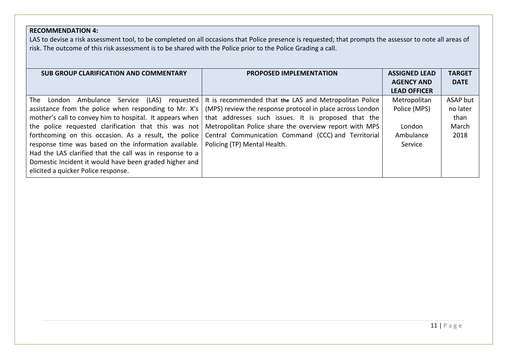# **RECOMMENDATION 4:**

LAS to devise a risk assessment tool, to be completed on all occasions that Police presence is requested; that prompts the assessor to note all areas of risk. The outcome of this risk assessment is to be shared with the Police prior to the Police Grading a call.

| <b>SUB GROUP CLARIFICATION AND COMMENTARY</b>              | <b>PROPOSED IMPLEMENTATION</b>                            | <b>ASSIGNED LEAD</b> | <b>TARGET</b> |
|------------------------------------------------------------|-----------------------------------------------------------|----------------------|---------------|
|                                                            |                                                           | <b>AGENCY AND</b>    | <b>DATE</b>   |
|                                                            |                                                           | <b>LEAD OFFICER</b>  |               |
| Service<br>(LAS)<br>requested  <br>The London<br>Ambulance | It is recommended that the LAS and Metropolitan Police    | Metropolitan         | ASAP but      |
| assistance from the police when responding to Mr. X's      | (MPS) review the response protocol in place across London | Police (MPS)         | no later      |
| mother's call to convey him to hospital. It appears when   | that addresses such issues. It is proposed that the       |                      | than          |
| the police requested clarification that this was not       | Metropolitan Police share the overview report with MPS    | London               | March         |
| forthcoming on this occasion. As a result, the police      | Central Communication Command (CCC) and Territorial       | Ambulance            | 2018          |
| response time was based on the information available.      | Policing (TP) Mental Health.                              | Service              |               |
| Had the LAS clarified that the call was in response to a   |                                                           |                      |               |
| Domestic Incident it would have been graded higher and     |                                                           |                      |               |
| elicited a quicker Police response.                        |                                                           |                      |               |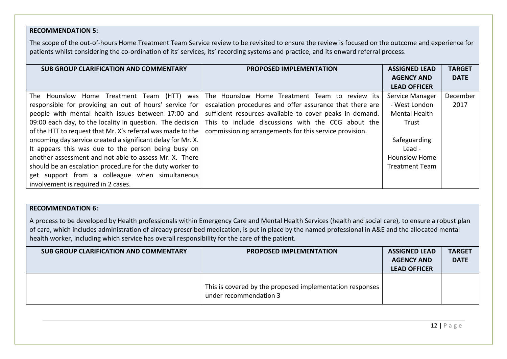# **RECOMMENDATION 5:**

The scope of the out-of-hours Home Treatment Team Service review to be revisited to ensure the review is focused on the outcome and experience for patients whilst considering the co-ordination of its' services, its' recording systems and practice, and its onward referral process.

| <b>SUB GROUP CLARIFICATION AND COMMENTARY</b>               | <b>PROPOSED IMPLEMENTATION</b>                                                                               | <b>ASSIGNED LEAD</b>  | <b>TARGET</b> |
|-------------------------------------------------------------|--------------------------------------------------------------------------------------------------------------|-----------------------|---------------|
|                                                             |                                                                                                              | <b>AGENCY AND</b>     | <b>DATE</b>   |
|                                                             |                                                                                                              | <b>LEAD OFFICER</b>   |               |
| The Hounslow Home Treatment Team<br>(HTT) was               | The Hounslow Home Treatment Team to review its                                                               | Service Manager       | December      |
| responsible for providing an out of hours' service for      | escalation procedures and offer assurance that there are                                                     | - West London         | 2017          |
| people with mental health issues between 17:00 and          | sufficient resources available to cover peaks in demand.                                                     | <b>Mental Health</b>  |               |
|                                                             | 09:00 each day, to the locality in question. The decision This to include discussions with the CCG about the | Trust                 |               |
| of the HTT to request that Mr. X's referral was made to the | commissioning arrangements for this service provision.                                                       |                       |               |
| oncoming day service created a significant delay for Mr. X. |                                                                                                              | Safeguarding          |               |
| It appears this was due to the person being busy on         |                                                                                                              | Lead -                |               |
| another assessment and not able to assess Mr. X. There      |                                                                                                              | <b>Hounslow Home</b>  |               |
| should be an escalation procedure for the duty worker to    |                                                                                                              | <b>Treatment Team</b> |               |
| get support from a colleague when simultaneous              |                                                                                                              |                       |               |
| involvement is required in 2 cases.                         |                                                                                                              |                       |               |

# **RECOMMENDATION 6:**

A process to be developed by Health professionals within Emergency Care and Mental Health Services (health and social care), to ensure a robust plan of care, which includes administration of already prescribed medication, is put in place by the named professional in A&E and the allocated mental health worker, including which service has overall responsibility for the care of the patient.

| SUB GROUP CLARIFICATION AND COMMENTARY | <b>PROPOSED IMPLEMENTATION</b>                                                     | <b>ASSIGNED LEAD</b> | <b>TARGET</b> |
|----------------------------------------|------------------------------------------------------------------------------------|----------------------|---------------|
|                                        |                                                                                    | <b>AGENCY AND</b>    | <b>DATE</b>   |
|                                        |                                                                                    | <b>LEAD OFFICER</b>  |               |
|                                        | This is covered by the proposed implementation responses<br>under recommendation 3 |                      |               |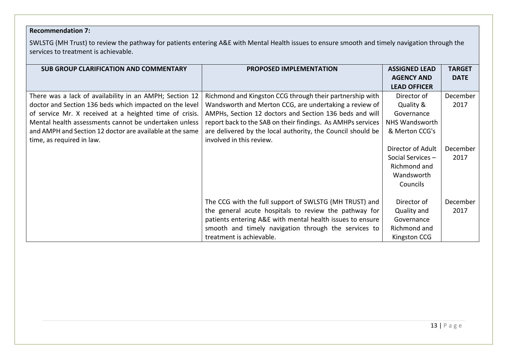# **Recommendation 7:**

SWLSTG (MH Trust) to review the pathway for patients entering A&E with Mental Health issues to ensure smooth and timely navigation through the services to treatment is achievable.

| <b>SUB GROUP CLARIFICATION AND COMMENTARY</b>            | PROPOSED IMPLEMENTATION                                     | <b>ASSIGNED LEAD</b> | <b>TARGET</b> |
|----------------------------------------------------------|-------------------------------------------------------------|----------------------|---------------|
|                                                          |                                                             | <b>AGENCY AND</b>    | <b>DATE</b>   |
|                                                          |                                                             | <b>LEAD OFFICER</b>  |               |
| There was a lack of availability in an AMPH; Section 12  | Richmond and Kingston CCG through their partnership with    | Director of          | December      |
| doctor and Section 136 beds which impacted on the level  | Wandsworth and Merton CCG, are undertaking a review of      | Quality &            | 2017          |
| of service Mr. X received at a heighted time of crisis.  | AMPHs, Section 12 doctors and Section 136 beds and will     | Governance           |               |
| Mental health assessments cannot be undertaken unless    | report back to the SAB on their findings. As AMHPs services | NHS Wandsworth       |               |
| and AMPH and Section 12 doctor are available at the same | are delivered by the local authority, the Council should be | & Merton CCG's       |               |
| time, as required in law.                                | involved in this review.                                    |                      |               |
|                                                          |                                                             | Director of Adult    | December      |
|                                                          |                                                             | Social Services-     | 2017          |
|                                                          |                                                             | Richmond and         |               |
|                                                          |                                                             | Wandsworth           |               |
|                                                          |                                                             | Councils             |               |
|                                                          |                                                             |                      |               |
|                                                          | The CCG with the full support of SWLSTG (MH TRUST) and      | Director of          | December      |
|                                                          | the general acute hospitals to review the pathway for       | Quality and          | 2017          |
|                                                          | patients entering A&E with mental health issues to ensure   | Governance           |               |
|                                                          | smooth and timely navigation through the services to        | Richmond and         |               |
|                                                          | treatment is achievable.                                    | Kingston CCG         |               |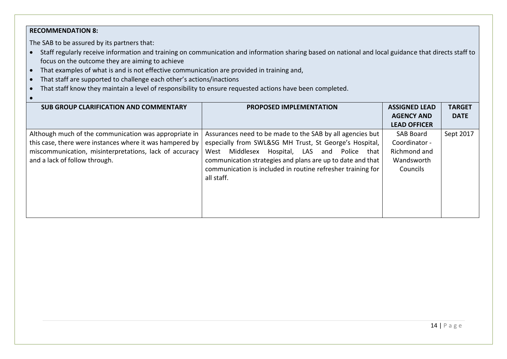# **RECOMMENDATION 8:**

The SAB to be assured by its partners that:

- Staff regularly receive information and training on communication and information sharing based on national and local guidance that directs staff to focus on the outcome they are aiming to achieve
- That examples of what is and is not effective communication are provided in training and,
- That staff are supported to challenge each other's actions/inactions
- That staff know they maintain a level of responsibility to ensure requested actions have been completed.
- •

| <b>SUB GROUP CLARIFICATION AND COMMENTARY</b>            | <b>PROPOSED IMPLEMENTATION</b>                              | <b>ASSIGNED LEAD</b><br><b>AGENCY AND</b> | <b>TARGET</b><br><b>DATE</b> |
|----------------------------------------------------------|-------------------------------------------------------------|-------------------------------------------|------------------------------|
|                                                          |                                                             | <b>LEAD OFFICER</b>                       |                              |
| Although much of the communication was appropriate in    | Assurances need to be made to the SAB by all agencies but   | SAB Board                                 | Sept 2017                    |
| this case, there were instances where it was hampered by | especially from SWL&SG MH Trust, St George's Hospital,      | Coordinator -                             |                              |
| miscommunication, misinterpretations, lack of accuracy   | Hospital, LAS<br>Middlesex<br>Police that<br>West<br>and    | Richmond and                              |                              |
| and a lack of follow through.                            | communication strategies and plans are up to date and that  | Wandsworth                                |                              |
|                                                          | communication is included in routine refresher training for | Councils                                  |                              |
|                                                          | all staff.                                                  |                                           |                              |
|                                                          |                                                             |                                           |                              |
|                                                          |                                                             |                                           |                              |
|                                                          |                                                             |                                           |                              |
|                                                          |                                                             |                                           |                              |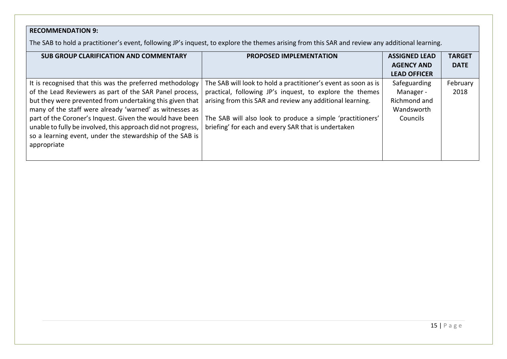# **RECOMMENDATION 9:**

The SAB to hold a practitioner's event, following JP's inquest, to explore the themes arising from this SAR and review any additional learning.

| <b>SUB GROUP CLARIFICATION AND COMMENTARY</b>                | <b>PROPOSED IMPLEMENTATION</b>                                 | <b>ASSIGNED LEAD</b> | <b>TARGET</b> |
|--------------------------------------------------------------|----------------------------------------------------------------|----------------------|---------------|
|                                                              |                                                                | <b>AGENCY AND</b>    | <b>DATE</b>   |
|                                                              |                                                                | <b>LEAD OFFICER</b>  |               |
| It is recognised that this was the preferred methodology     | The SAB will look to hold a practitioner's event as soon as is | Safeguarding         | February      |
| of the Lead Reviewers as part of the SAR Panel process,      | practical, following JP's inquest, to explore the themes       | Manager -            | 2018          |
| but they were prevented from undertaking this given that     | arising from this SAR and review any additional learning.      | Richmond and         |               |
| many of the staff were already 'warned' as witnesses as      |                                                                | Wandsworth           |               |
| part of the Coroner's Inquest. Given the would have been     | The SAB will also look to produce a simple 'practitioners'     | Councils             |               |
| unable to fully be involved, this approach did not progress, | briefing' for each and every SAR that is undertaken            |                      |               |
| so a learning event, under the stewardship of the SAB is     |                                                                |                      |               |
| appropriate                                                  |                                                                |                      |               |
|                                                              |                                                                |                      |               |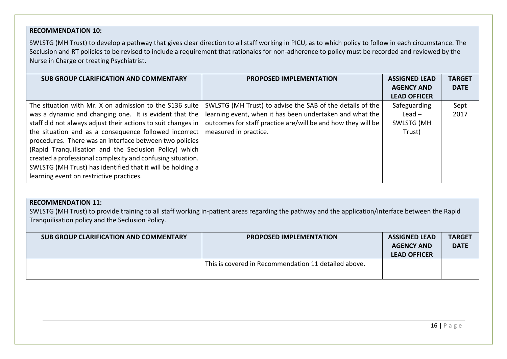# **RECOMMENDATION 10:**

SWLSTG (MH Trust) to develop a pathway that gives clear direction to all staff working in PICU, as to which policy to follow in each circumstance. The Seclusion and RT policies to be revised to include a requirement that rationales for non-adherence to policy must be recorded and reviewed by the Nurse in Charge or treating Psychiatrist.

| <b>SUB GROUP CLARIFICATION AND COMMENTARY</b>                                                                                                                                                                                                                                                                                                                                                                                                                                                                                           | <b>PROPOSED IMPLEMENTATION</b>                                                                                                                                                                                 | <b>ASSIGNED LEAD</b>                                    | <b>TARGET</b> |
|-----------------------------------------------------------------------------------------------------------------------------------------------------------------------------------------------------------------------------------------------------------------------------------------------------------------------------------------------------------------------------------------------------------------------------------------------------------------------------------------------------------------------------------------|----------------------------------------------------------------------------------------------------------------------------------------------------------------------------------------------------------------|---------------------------------------------------------|---------------|
|                                                                                                                                                                                                                                                                                                                                                                                                                                                                                                                                         |                                                                                                                                                                                                                | <b>AGENCY AND</b><br><b>LEAD OFFICER</b>                | <b>DATE</b>   |
| The situation with Mr. X on admission to the S136 suite<br>was a dynamic and changing one. It is evident that the<br>staff did not always adjust their actions to suit changes in<br>the situation and as a consequence followed incorrect<br>procedures. There was an interface between two policies<br>(Rapid Tranquilisation and the Seclusion Policy) which<br>created a professional complexity and confusing situation.<br>SWLSTG (MH Trust) has identified that it will be holding a<br>learning event on restrictive practices. | SWLSTG (MH Trust) to advise the SAB of the details of the<br>learning event, when it has been undertaken and what the<br>outcomes for staff practice are/will be and how they will be<br>measured in practice. | Safeguarding<br>Lead $-$<br><b>SWLSTG (MH</b><br>Trust) | Sept<br>2017  |

## **RECOMMENDATION 11:**

SWLSTG (MH Trust) to provide training to all staff working in-patient areas regarding the pathway and the application/interface between the Rapid Tranquilisation policy and the Seclusion Policy.

| <b>SUB GROUP CLARIFICATION AND COMMENTARY</b> | <b>PROPOSED IMPLEMENTATION</b>                       | <b>ASSIGNED LEAD</b><br><b>AGENCY AND</b><br><b>LEAD OFFICER</b> | <b>TARGET</b><br><b>DATE</b> |
|-----------------------------------------------|------------------------------------------------------|------------------------------------------------------------------|------------------------------|
|                                               | This is covered in Recommendation 11 detailed above. |                                                                  |                              |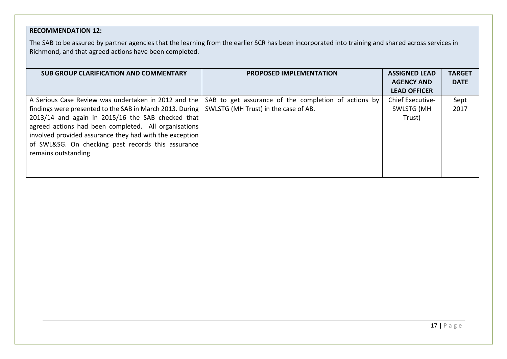# **RECOMMENDATION 12:**

The SAB to be assured by partner agencies that the learning from the earlier SCR has been incorporated into training and shared across services in Richmond, and that agreed actions have been completed.

| <b>SUB GROUP CLARIFICATION AND COMMENTARY</b>                                                   | <b>PROPOSED IMPLEMENTATION</b>                                                                            | <b>ASSIGNED LEAD</b> | <b>TARGET</b> |
|-------------------------------------------------------------------------------------------------|-----------------------------------------------------------------------------------------------------------|----------------------|---------------|
|                                                                                                 |                                                                                                           | <b>AGENCY AND</b>    | <b>DATE</b>   |
|                                                                                                 |                                                                                                           | <b>LEAD OFFICER</b>  |               |
|                                                                                                 | A Serious Case Review was undertaken in 2012 and the SAB to get assurance of the completion of actions by | Chief Executive-     | Sept          |
| findings were presented to the SAB in March 2013. During   SWLSTG (MH Trust) in the case of AB. |                                                                                                           | <b>SWLSTG (MH</b>    | 2017          |
| 2013/14 and again in 2015/16 the SAB checked that                                               |                                                                                                           | Trust)               |               |
| agreed actions had been completed. All organisations                                            |                                                                                                           |                      |               |
| involved provided assurance they had with the exception                                         |                                                                                                           |                      |               |
| of SWL&SG. On checking past records this assurance                                              |                                                                                                           |                      |               |
| remains outstanding                                                                             |                                                                                                           |                      |               |
|                                                                                                 |                                                                                                           |                      |               |
|                                                                                                 |                                                                                                           |                      |               |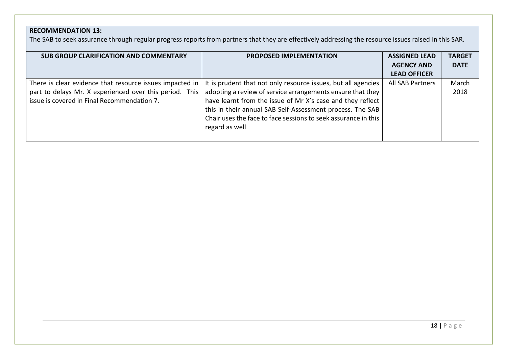# **RECOMMENDATION 13:**

The SAB to seek assurance through regular progress reports from partners that they are effectively addressing the resource issues raised in this SAR.

| SUB GROUP CLARIFICATION AND COMMENTARY                   | <b>PROPOSED IMPLEMENTATION</b>                                 | <b>ASSIGNED LEAD</b>                     | <b>TARGET</b><br><b>DATE</b> |
|----------------------------------------------------------|----------------------------------------------------------------|------------------------------------------|------------------------------|
|                                                          |                                                                | <b>AGENCY AND</b><br><b>LEAD OFFICER</b> |                              |
|                                                          |                                                                |                                          |                              |
| There is clear evidence that resource issues impacted in | It is prudent that not only resource issues, but all agencies  | <b>All SAB Partners</b>                  | March                        |
| part to delays Mr. X experienced over this period. This  | adopting a review of service arrangements ensure that they     |                                          | 2018                         |
| issue is covered in Final Recommendation 7.              | have learnt from the issue of Mr X's case and they reflect     |                                          |                              |
|                                                          | this in their annual SAB Self-Assessment process. The SAB      |                                          |                              |
|                                                          | Chair uses the face to face sessions to seek assurance in this |                                          |                              |
|                                                          | regard as well                                                 |                                          |                              |
|                                                          |                                                                |                                          |                              |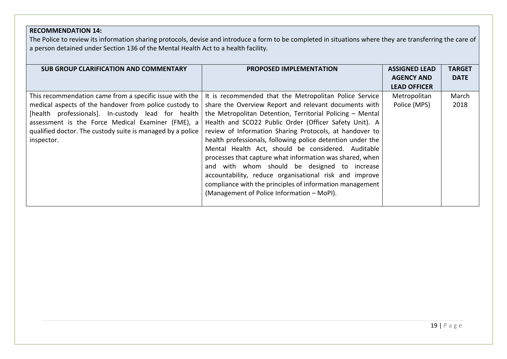# **RECOMMENDATION 14:**

The Police to review its information sharing protocols, devise and introduce a form to be completed in situations where they are transferring the care of a person detained under Section 136 of the Mental Health Act to a health facility.

| <b>SUB GROUP CLARIFICATION AND COMMENTARY</b>              | <b>PROPOSED IMPLEMENTATION</b>                                                                                         | <b>ASSIGNED LEAD</b><br><b>AGENCY AND</b> | <b>TARGET</b><br><b>DATE</b> |
|------------------------------------------------------------|------------------------------------------------------------------------------------------------------------------------|-------------------------------------------|------------------------------|
|                                                            |                                                                                                                        | <b>LEAD OFFICER</b>                       |                              |
|                                                            | This recommendation came from a specific issue with the $\vert$ It is recommended that the Metropolitan Police Service | Metropolitan                              | March                        |
| medical aspects of the handover from police custody to     | share the Overview Report and relevant documents with                                                                  | Police (MPS)                              | 2018                         |
|                                                            | [health professionals]. In-custody lead for health the Metropolitan Detention, Territorial Policing – Mental           |                                           |                              |
| assessment is the Force Medical Examiner (FME), a          | Health and SCO22 Public Order (Officer Safety Unit). A                                                                 |                                           |                              |
| qualified doctor. The custody suite is managed by a police | review of Information Sharing Protocols, at handover to                                                                |                                           |                              |
| inspector.                                                 | health professionals, following police detention under the                                                             |                                           |                              |
|                                                            | Mental Health Act, should be considered. Auditable                                                                     |                                           |                              |
|                                                            | processes that capture what information was shared, when                                                               |                                           |                              |
|                                                            | and with whom should be designed to increase                                                                           |                                           |                              |
|                                                            | accountability, reduce organisational risk and improve                                                                 |                                           |                              |
|                                                            | compliance with the principles of information management                                                               |                                           |                              |
|                                                            | (Management of Police Information - MoPI).                                                                             |                                           |                              |
|                                                            |                                                                                                                        |                                           |                              |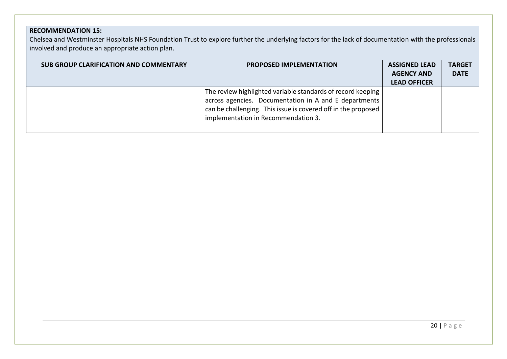# **RECOMMENDATION 15:**

Chelsea and Westminster Hospitals NHS Foundation Trust to explore further the underlying factors for the lack of documentation with the professionals involved and produce an appropriate action plan.

| <b>SUB GROUP CLARIFICATION AND COMMENTARY</b> | <b>PROPOSED IMPLEMENTATION</b>                                                                                                                                                                                               | <b>ASSIGNED LEAD</b><br><b>AGENCY AND</b><br><b>LEAD OFFICER</b> | <b>TARGET</b><br><b>DATE</b> |
|-----------------------------------------------|------------------------------------------------------------------------------------------------------------------------------------------------------------------------------------------------------------------------------|------------------------------------------------------------------|------------------------------|
|                                               | The review highlighted variable standards of record keeping<br>across agencies. Documentation in A and E departments<br>can be challenging. This issue is covered off in the proposed<br>implementation in Recommendation 3. |                                                                  |                              |